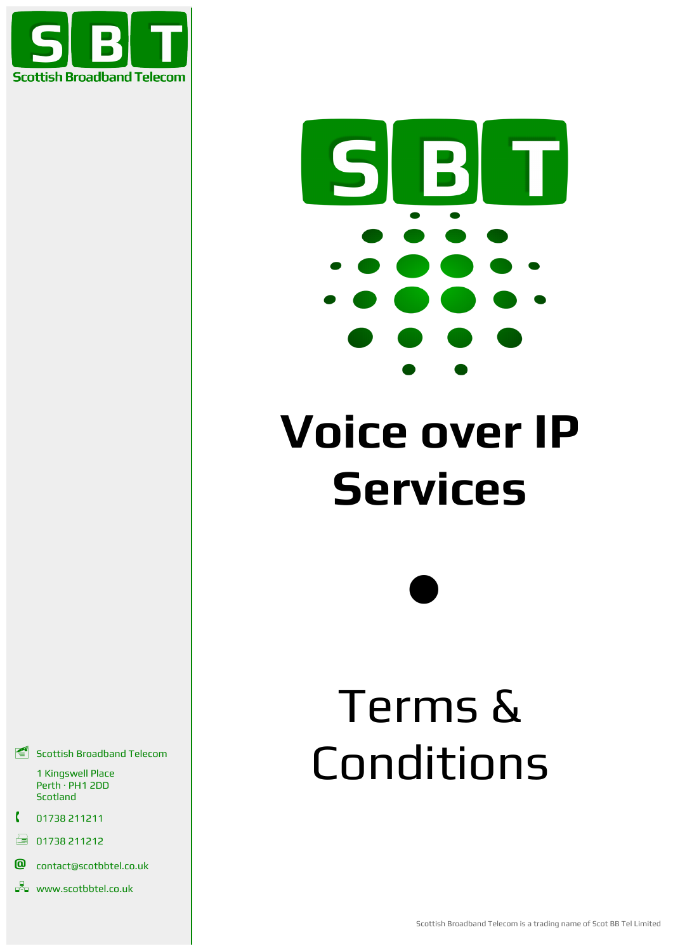



# **Voice over IP Services**

 $\bullet$ 

# Terms & Conditions

 $\leq$  Scottish Broadband Telecom

1 Kingswell Place Perth · PH1 2DD Scotland

- 01738 211211
- $\Box$  01738 211212
- **@** contact@scotbbtel.co.uk
- **DR** www.scotbbtel.co.uk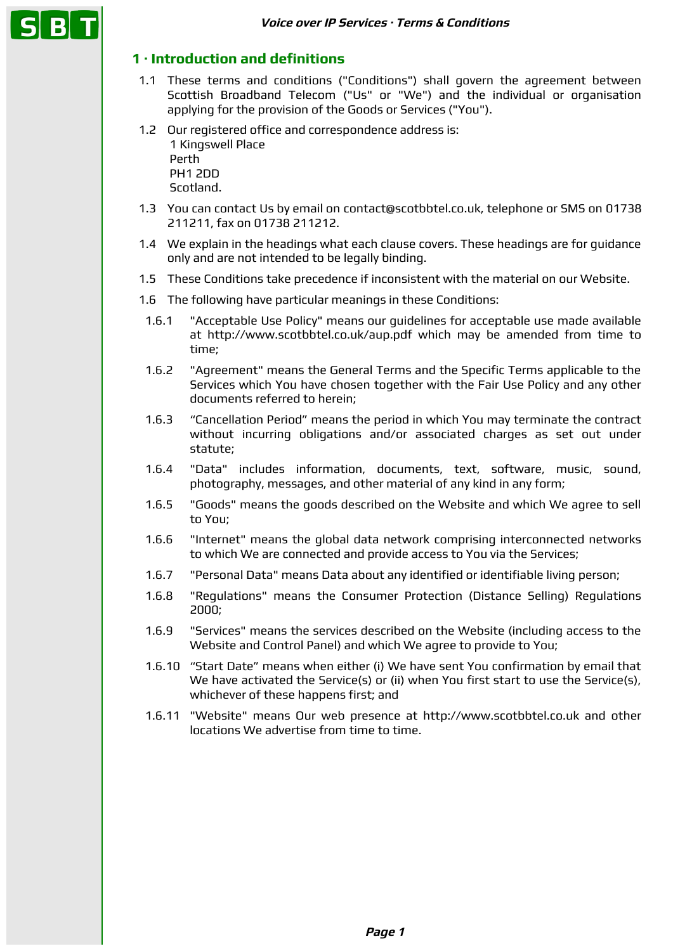# **1 · Introduction and definitions**

- 1.1 These terms and conditions ("Conditions") shall govern the agreement between Scottish Broadband Telecom ("Us" or "We") and the individual or organisation applying for the provision of the Goods or Services ("You").
- 1.2 Our registered office and correspondence address is: 1 Kingswell Place Perth PH1 2DD Scotland.
- 1.3 You can contact Us by email on contact@scotbbtel.co.uk, telephone or SMS on 01738 211211, fax on 01738 211212.
- 1.4 We explain in the headings what each clause covers. These headings are for guidance only and are not intended to be legally binding.
- 1.5 These Conditions take precedence if inconsistent with the material on our Website.
- 1.6 The following have particular meanings in these Conditions:
- 1.6.1 "Acceptable Use Policy" means our guidelines for acceptable use made available at http://www.scotbbtel.co.uk/aup.pdf which may be amended from time to time;
- 1.6.2 "Agreement" means the General Terms and the Specific Terms applicable to the Services which You have chosen together with the Fair Use Policy and any other documents referred to herein;
- 1.6.3 "Cancellation Period" means the period in which You may terminate the contract without incurring obligations and/or associated charges as set out under statute;
- 1.6.4 "Data" includes information, documents, text, software, music, sound, photography, messages, and other material of any kind in any form;
- 1.6.5 "Goods" means the goods described on the Website and which We agree to sell to You;
- 1.6.6 "Internet" means the global data network comprising interconnected networks to which We are connected and provide access to You via the Services;
- 1.6.7 "Personal Data" means Data about any identified or identifiable living person;
- 1.6.8 "Regulations" means the Consumer Protection (Distance Selling) Regulations 2000;
- 1.6.9 "Services" means the services described on the Website (including access to the Website and Control Panel) and which We agree to provide to You;
- 1.6.10 "Start Date" means when either (i) We have sent You confirmation by email that We have activated the Service(s) or (ii) when You first start to use the Service(s), whichever of these happens first; and
- 1.6.11 "Website" means Our web presence at http://www.scotbbtel.co.uk and other locations We advertise from time to time.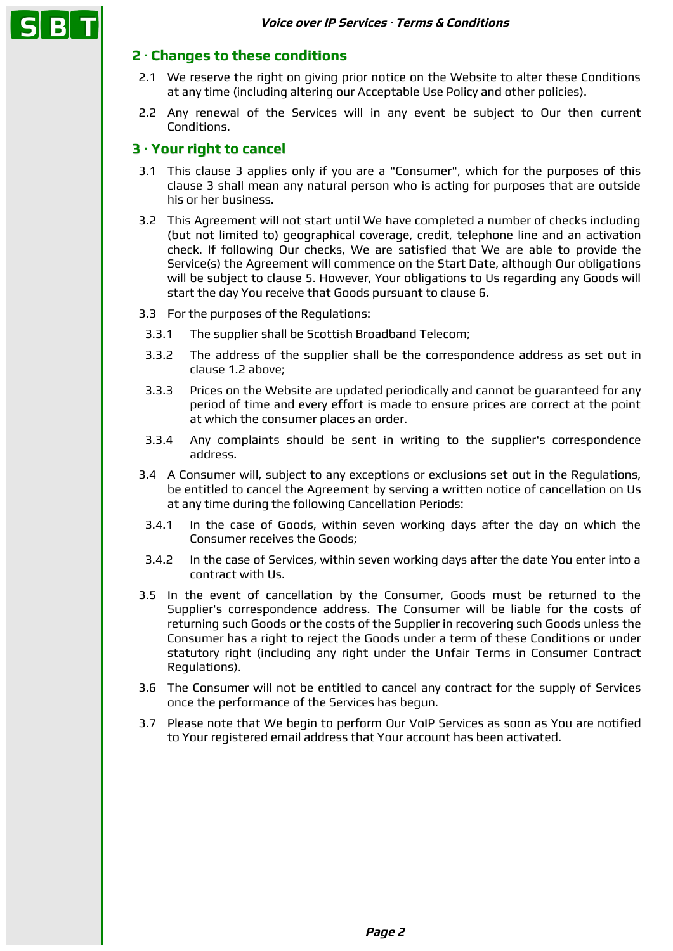# **2 · Changes to these conditions**

- 2.1 We reserve the right on giving prior notice on the Website to alter these Conditions at any time (including altering our Acceptable Use Policy and other policies).
- 2.2 Any renewal of the Services will in any event be subject to Our then current Conditions.

## **3 · Your right to cancel**

- 3.1 This clause 3 applies only if you are a "Consumer", which for the purposes of this clause 3 shall mean any natural person who is acting for purposes that are outside his or her business.
- 3.2 This Agreement will not start until We have completed a number of checks including (but not limited to) geographical coverage, credit, telephone line and an activation check. If following Our checks, We are satisfied that We are able to provide the Service(s) the Agreement will commence on the Start Date, although Our obligations will be subject to clause 5. However, Your obligations to Us regarding any Goods will start the day You receive that Goods pursuant to clause 6.
- 3.3 For the purposes of the Regulations:
- 3.3.1 The supplier shall be Scottish Broadband Telecom;
- 3.3.2 The address of the supplier shall be the correspondence address as set out in clause 1.2 above;
- 3.3.3 Prices on the Website are updated periodically and cannot be guaranteed for any period of time and every effort is made to ensure prices are correct at the point at which the consumer places an order.
- 3.3.4 Any complaints should be sent in writing to the supplier's correspondence address.
- 3.4 A Consumer will, subject to any exceptions or exclusions set out in the Regulations, be entitled to cancel the Agreement by serving a written notice of cancellation on Us at any time during the following Cancellation Periods:
- 3.4.1 In the case of Goods, within seven working days after the day on which the Consumer receives the Goods;
- 3.4.2 In the case of Services, within seven working days after the date You enter into a contract with Us.
- 3.5 In the event of cancellation by the Consumer, Goods must be returned to the Supplier's correspondence address. The Consumer will be liable for the costs of returning such Goods or the costs of the Supplier in recovering such Goods unless the Consumer has a right to reject the Goods under a term of these Conditions or under statutory right (including any right under the Unfair Terms in Consumer Contract Regulations).
- 3.6 The Consumer will not be entitled to cancel any contract for the supply of Services once the performance of the Services has begun.
- 3.7 Please note that We begin to perform Our VoIP Services as soon as You are notified to Your registered email address that Your account has been activated.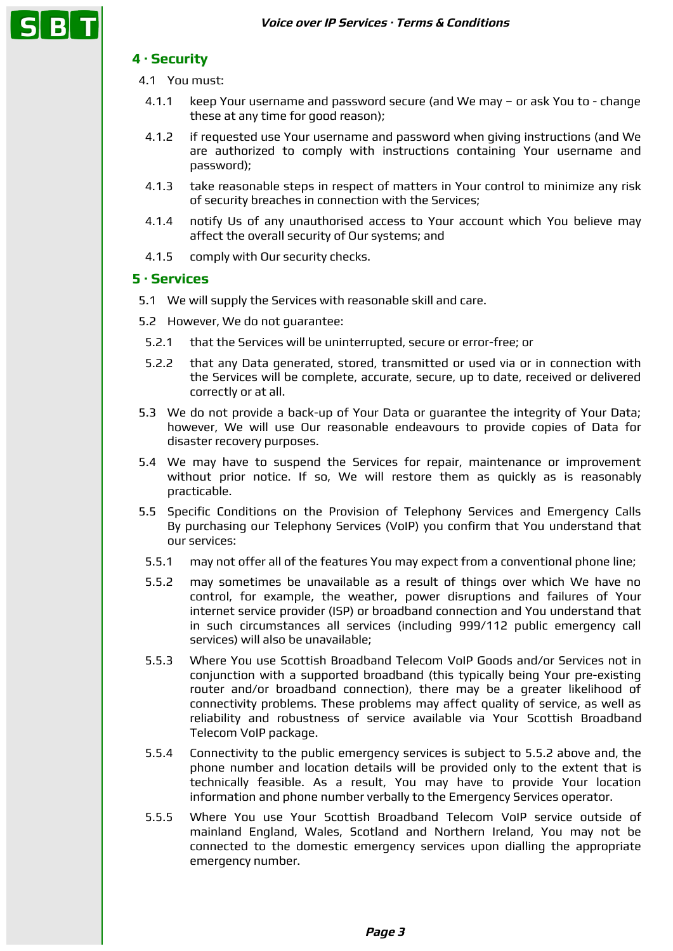# **4 · Security**

- 4.1 You must:
- 4.1.1 keep Your username and password secure (and We may or ask You to change these at any time for good reason);
- 4.1.2 if requested use Your username and password when giving instructions (and We are authorized to comply with instructions containing Your username and password);
- 4.1.3 take reasonable steps in respect of matters in Your control to minimize any risk of security breaches in connection with the Services;
- 4.1.4 notify Us of any unauthorised access to Your account which You believe may affect the overall security of Our systems; and
- 4.1.5 comply with Our security checks.

#### **5 · Services**

- 5.1 We will supply the Services with reasonable skill and care.
- 5.2 However, We do not guarantee:
- 5.2.1 that the Services will be uninterrupted, secure or error-free; or
- 5.2.2 that any Data generated, stored, transmitted or used via or in connection with the Services will be complete, accurate, secure, up to date, received or delivered correctly or at all.
- 5.3 We do not provide a back-up of Your Data or guarantee the integrity of Your Data; however, We will use Our reasonable endeavours to provide copies of Data for disaster recovery purposes.
- 5.4 We may have to suspend the Services for repair, maintenance or improvement without prior notice. If so, We will restore them as quickly as is reasonably practicable.
- 5.5 Specific Conditions on the Provision of Telephony Services and Emergency Calls By purchasing our Telephony Services (VoIP) you confirm that You understand that our services:
- 5.5.1 may not offer all of the features You may expect from a conventional phone line;
- 5.5.2 may sometimes be unavailable as a result of things over which We have no control, for example, the weather, power disruptions and failures of Your internet service provider (ISP) or broadband connection and You understand that in such circumstances all services (including 999/112 public emergency call services) will also be unavailable;
- 5.5.3 Where You use Scottish Broadband Telecom VoIP Goods and/or Services not in conjunction with a supported broadband (this typically being Your pre-existing router and/or broadband connection), there may be a greater likelihood of connectivity problems. These problems may affect quality of service, as well as reliability and robustness of service available via Your Scottish Broadband Telecom VoIP package.
- 5.5.4 Connectivity to the public emergency services is subject to 5.5.2 above and, the phone number and location details will be provided only to the extent that is technically feasible. As a result, You may have to provide Your location information and phone number verbally to the Emergency Services operator.
- 5.5.5 Where You use Your Scottish Broadband Telecom VoIP service outside of mainland England, Wales, Scotland and Northern Ireland, You may not be connected to the domestic emergency services upon dialling the appropriate emergency number.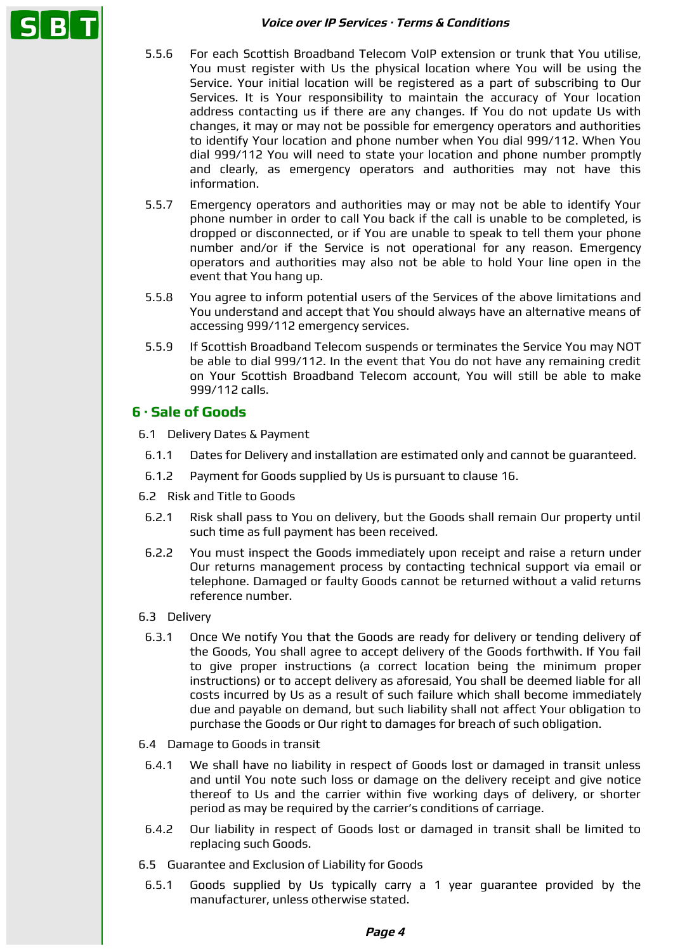#### **Voice over IP Services · Terms & Conditions**

- 5.5.6 For each Scottish Broadband Telecom VoIP extension or trunk that You utilise, You must register with Us the physical location where You will be using the Service. Your initial location will be registered as a part of subscribing to Our Services. It is Your responsibility to maintain the accuracy of Your location address contacting us if there are any changes. If You do not update Us with changes, it may or may not be possible for emergency operators and authorities to identify Your location and phone number when You dial 999/112. When You dial 999/112 You will need to state your location and phone number promptly and clearly, as emergency operators and authorities may not have this information.
- 5.5.7 Emergency operators and authorities may or may not be able to identify Your phone number in order to call You back if the call is unable to be completed, is dropped or disconnected, or if You are unable to speak to tell them your phone number and/or if the Service is not operational for any reason. Emergency operators and authorities may also not be able to hold Your line open in the event that You hang up.
- 5.5.8 You agree to inform potential users of the Services of the above limitations and You understand and accept that You should always have an alternative means of accessing 999/112 emergency services.
- 5.5.9 If Scottish Broadband Telecom suspends or terminates the Service You may NOT be able to dial 999/112. In the event that You do not have any remaining credit on Your Scottish Broadband Telecom account, You will still be able to make 999/112 calls.

# **6 · Sale of Goods**

- 6.1 Delivery Dates & Payment
	- 6.1.1 Dates for Delivery and installation are estimated only and cannot be guaranteed.
- 6.1.2 Payment for Goods supplied by Us is pursuant to clause 16.
- 6.2 Risk and Title to Goods
	- 6.2.1 Risk shall pass to You on delivery, but the Goods shall remain Our property until such time as full payment has been received.
- 6.2.2 You must inspect the Goods immediately upon receipt and raise a return under Our returns management process by contacting technical support via email or telephone. Damaged or faulty Goods cannot be returned without a valid returns reference number.
- 6.3 Delivery
- 6.3.1 Once We notify You that the Goods are ready for delivery or tending delivery of the Goods, You shall agree to accept delivery of the Goods forthwith. If You fail to give proper instructions (a correct location being the minimum proper instructions) or to accept delivery as aforesaid, You shall be deemed liable for all costs incurred by Us as a result of such failure which shall become immediately due and payable on demand, but such liability shall not affect Your obligation to purchase the Goods or Our right to damages for breach of such obligation.
- 6.4 Damage to Goods in transit
- 6.4.1 We shall have no liability in respect of Goods lost or damaged in transit unless and until You note such loss or damage on the delivery receipt and give notice thereof to Us and the carrier within five working days of delivery, or shorter period as may be required by the carrier's conditions of carriage.
- 6.4.2 Our liability in respect of Goods lost or damaged in transit shall be limited to replacing such Goods.
- 6.5 Guarantee and Exclusion of Liability for Goods
- 6.5.1 Goods supplied by Us typically carry a 1 year guarantee provided by the manufacturer, unless otherwise stated.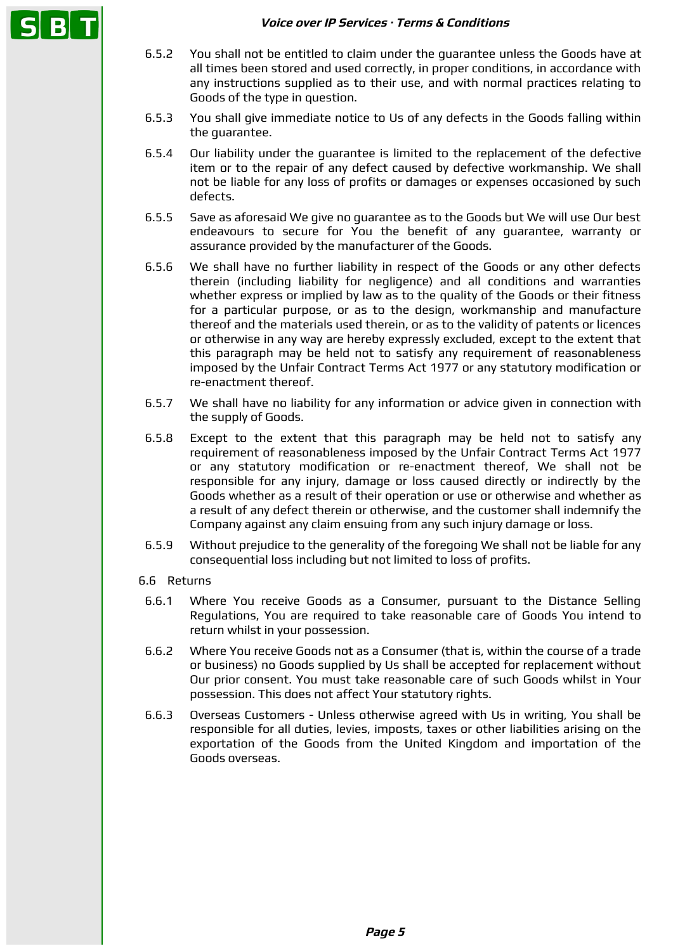#### **Voice over IP Services · Terms & Conditions**

- 6.5.2 You shall not be entitled to claim under the guarantee unless the Goods have at all times been stored and used correctly, in proper conditions, in accordance with any instructions supplied as to their use, and with normal practices relating to Goods of the type in question.
- 6.5.3 You shall give immediate notice to Us of any defects in the Goods falling within the quarantee.
- 6.5.4 Our liability under the guarantee is limited to the replacement of the defective item or to the repair of any defect caused by defective workmanship. We shall not be liable for any loss of profits or damages or expenses occasioned by such defects.
- 6.5.5 Save as aforesaid We give no guarantee as to the Goods but We will use Our best endeavours to secure for You the benefit of any guarantee, warranty or assurance provided by the manufacturer of the Goods.
- 6.5.6 We shall have no further liability in respect of the Goods or any other defects therein (including liability for negligence) and all conditions and warranties whether express or implied by law as to the quality of the Goods or their fitness for a particular purpose, or as to the design, workmanship and manufacture thereof and the materials used therein, or as to the validity of patents or licences or otherwise in any way are hereby expressly excluded, except to the extent that this paragraph may be held not to satisfy any requirement of reasonableness imposed by the Unfair Contract Terms Act 1977 or any statutory modification or re-enactment thereof.
- 6.5.7 We shall have no liability for any information or advice given in connection with the supply of Goods.
- 6.5.8 Except to the extent that this paragraph may be held not to satisfy any requirement of reasonableness imposed by the Unfair Contract Terms Act 1977 or any statutory modification or re-enactment thereof, We shall not be responsible for any injury, damage or loss caused directly or indirectly by the Goods whether as a result of their operation or use or otherwise and whether as a result of any defect therein or otherwise, and the customer shall indemnify the Company against any claim ensuing from any such injury damage or loss.
- 6.5.9 Without prejudice to the generality of the foregoing We shall not be liable for any consequential loss including but not limited to loss of profits.
- 6.6 Returns
- 6.6.1 Where You receive Goods as a Consumer, pursuant to the Distance Selling Regulations, You are required to take reasonable care of Goods You intend to return whilst in your possession.
- 6.6.2 Where You receive Goods not as a Consumer (that is, within the course of a trade or business) no Goods supplied by Us shall be accepted for replacement without Our prior consent. You must take reasonable care of such Goods whilst in Your possession. This does not affect Your statutory rights.
- 6.6.3 Overseas Customers Unless otherwise agreed with Us in writing, You shall be responsible for all duties, levies, imposts, taxes or other liabilities arising on the exportation of the Goods from the United Kingdom and importation of the Goods overseas.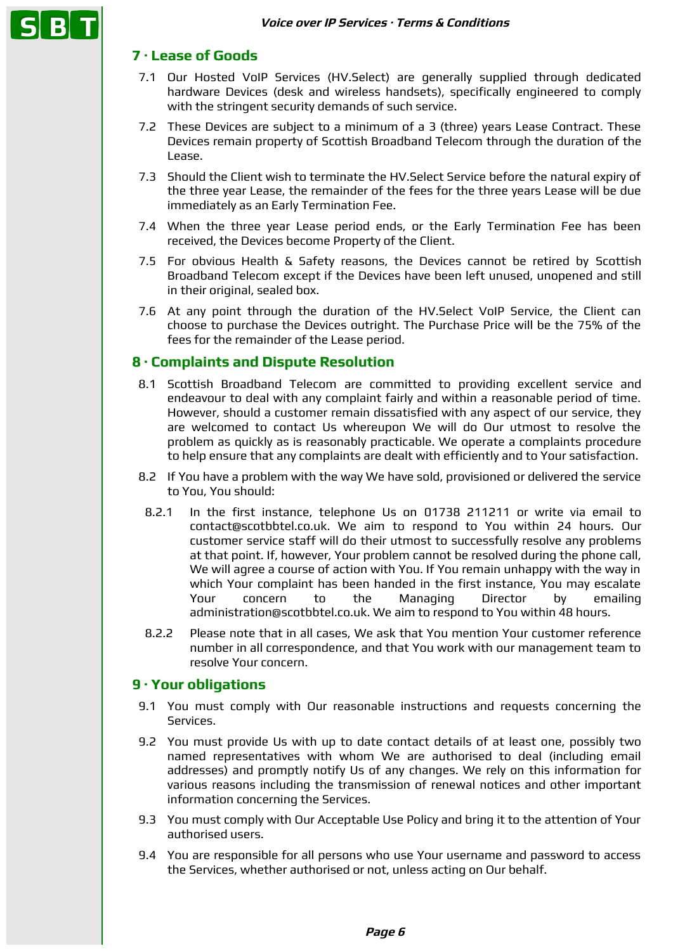# **7 · Lease of Goods**

- 7.1 Our Hosted VoIP Services (HV.Select) are generally supplied through dedicated hardware Devices (desk and wireless handsets), specifically engineered to comply with the stringent security demands of such service.
- 7.2 These Devices are subject to a minimum of a 3 (three) years Lease Contract. These Devices remain property of Scottish Broadband Telecom through the duration of the Lease.
- 7.3 Should the Client wish to terminate the HV.Select Service before the natural expiry of the three year Lease, the remainder of the fees for the three years Lease will be due immediately as an Early Termination Fee.
- 7.4 When the three year Lease period ends, or the Early Termination Fee has been received, the Devices become Property of the Client.
- 7.5 For obvious Health & Safety reasons, the Devices cannot be retired by Scottish Broadband Telecom except if the Devices have been left unused, unopened and still in their original, sealed box.
- 7.6 At any point through the duration of the HV.Select VoIP Service, the Client can choose to purchase the Devices outright. The Purchase Price will be the 75% of the fees for the remainder of the Lease period.

### **8 · Complaints and Dispute Resolution**

- 8.1 Scottish Broadband Telecom are committed to providing excellent service and endeavour to deal with any complaint fairly and within a reasonable period of time. However, should a customer remain dissatisfied with any aspect of our service, they are welcomed to contact Us whereupon We will do Our utmost to resolve the problem as quickly as is reasonably practicable. We operate a complaints procedure to help ensure that any complaints are dealt with efficiently and to Your satisfaction.
- 8.2 If You have a problem with the way We have sold, provisioned or delivered the service to You, You should:
- 8.2.1 In the first instance, telephone Us on 01738 211211 or write via email to contact@scotbbtel.co.uk. We aim to respond to You within 24 hours. Our customer service staff will do their utmost to successfully resolve any problems at that point. If, however, Your problem cannot be resolved during the phone call, We will agree a course of action with You. If You remain unhappy with the way in which Your complaint has been handed in the first instance, You may escalate Your concern to the Managing Director by emailing administration@scotbbtel.co.uk. We aim to respond to You within 48 hours.
- 8.2.2 Please note that in all cases, We ask that You mention Your customer reference number in all correspondence, and that You work with our management team to resolve Your concern.

#### **9 · Your obligations**

- 9.1 You must comply with Our reasonable instructions and requests concerning the Services.
- 9.2 You must provide Us with up to date contact details of at least one, possibly two named representatives with whom We are authorised to deal (including email addresses) and promptly notify Us of any changes. We rely on this information for various reasons including the transmission of renewal notices and other important information concerning the Services.
- 9.3 You must comply with Our Acceptable Use Policy and bring it to the attention of Your authorised users.
- 9.4 You are responsible for all persons who use Your username and password to access the Services, whether authorised or not, unless acting on Our behalf.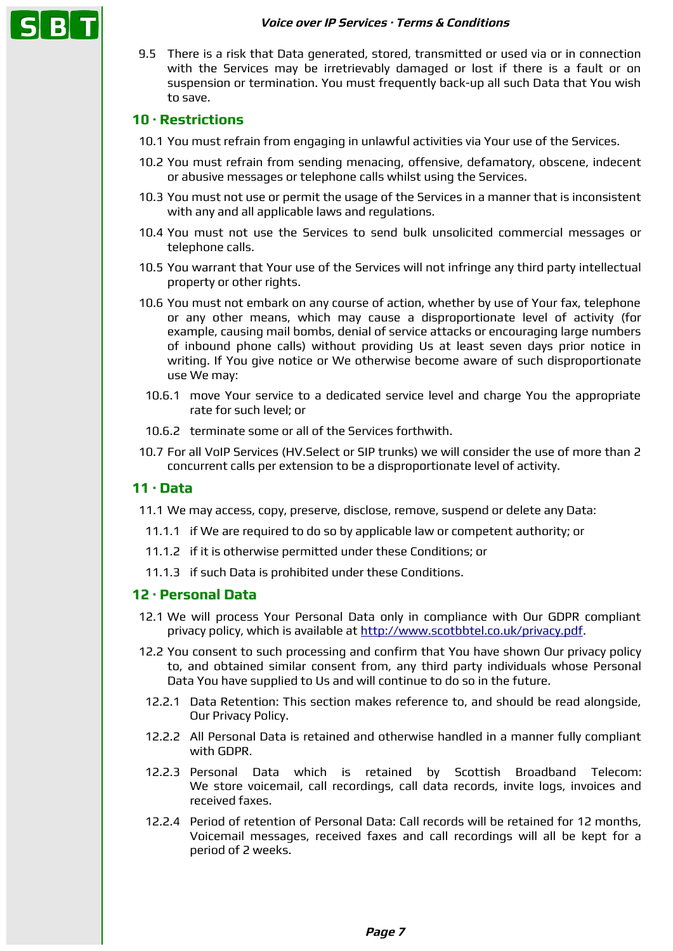#### **Voice over IP Services · Terms & Conditions**

9.5 There is a risk that Data generated, stored, transmitted or used via or in connection with the Services may be irretrievably damaged or lost if there is a fault or on suspension or termination. You must frequently back-up all such Data that You wish to save.

### **10 · Restrictions**

- 10.1 You must refrain from engaging in unlawful activities via Your use of the Services.
- 10.2 You must refrain from sending menacing, offensive, defamatory, obscene, indecent or abusive messages or telephone calls whilst using the Services.
- 10.3 You must not use or permit the usage of the Services in a manner that is inconsistent with any and all applicable laws and regulations.
- 10.4 You must not use the Services to send bulk unsolicited commercial messages or telephone calls.
- 10.5 You warrant that Your use of the Services will not infringe any third party intellectual property or other rights.
- 10.6 You must not embark on any course of action, whether by use of Your fax, telephone or any other means, which may cause a disproportionate level of activity (for example, causing mail bombs, denial of service attacks or encouraging large numbers of inbound phone calls) without providing Us at least seven days prior notice in writing. If You give notice or We otherwise become aware of such disproportionate use We may:
	- 10.6.1 move Your service to a dedicated service level and charge You the appropriate rate for such level; or
	- 10.6.2 terminate some or all of the Services forthwith.
- 10.7 For all VoIP Services (HV.Select or SIP trunks) we will consider the use of more than 2 concurrent calls per extension to be a disproportionate level of activity.

#### **11 · Data**

- 11.1 We may access, copy, preserve, disclose, remove, suspend or delete any Data:
	- 11.1.1 if We are required to do so by applicable law or competent authority; or
	- 11.1.2 if it is otherwise permitted under these Conditions; or
	- 11.1.3 if such Data is prohibited under these Conditions.

### **12 · Personal Data**

- 12.1 We will process Your Personal Data only in compliance with Our GDPR compliant privacy policy, which is available at [http://www.scotbbtel.co.uk/privacy.pdf.](http://www.scotbbtel.co.uk/privacy.pdf)
- 12.2 You consent to such processing and confirm that You have shown Our privacy policy to, and obtained similar consent from, any third party individuals whose Personal Data You have supplied to Us and will continue to do so in the future.
	- 12.2.1 Data Retention: This section makes reference to, and should be read alongside, Our Privacy Policy.
	- 12.2.2 All Personal Data is retained and otherwise handled in a manner fully compliant with GDPR.
	- 12.2.3 Personal Data which is retained by Scottish Broadband Telecom: We store voicemail, call recordings, call data records, invite logs, invoices and received faxes.
	- 12.2.4 Period of retention of Personal Data: Call records will be retained for 12 months, Voicemail messages, received faxes and call recordings will all be kept for a period of 2 weeks.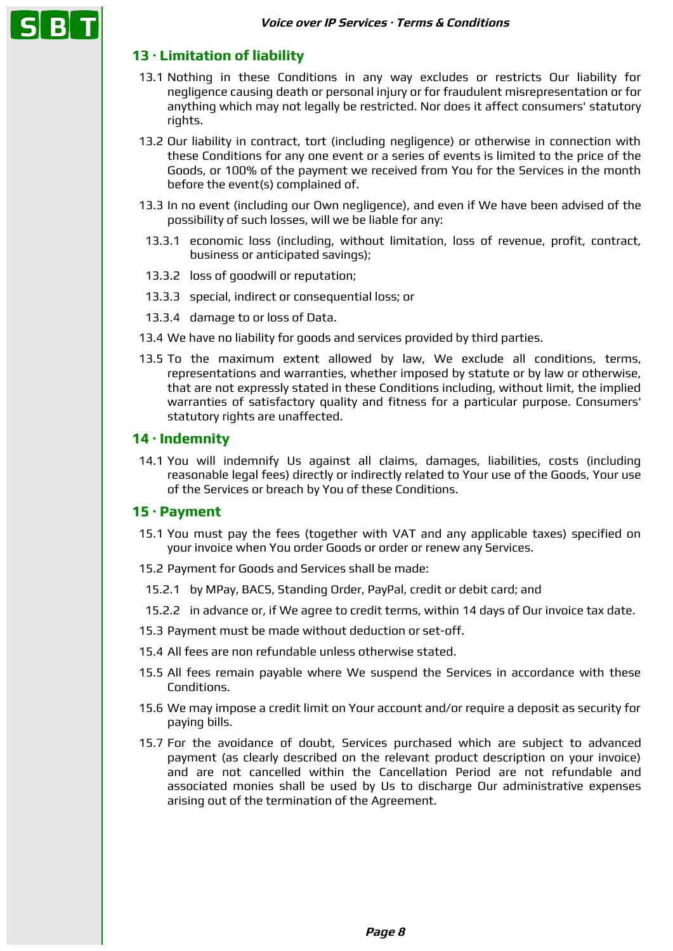# **13 · Limitation of liability**

- 13.1 Nothing in these Conditions in any way excludes or restricts Our liability for negligence causing death or personal injury or for fraudulent misrepresentation or for anything which may not legally be restricted. Nor does it affect consumers' statutory rights.
- 13.2 Our liability in contract, tort (including negligence) or otherwise in connection with these Conditions for any one event or a series of events is limited to the price of the Goods, or 100% of the payment we received from You for the Services in the month before the event(s) complained of.
- 13.3 In no event (including our Own negligence), and even if We have been advised of the possibility of such losses, will we be liable for any:
- 13.3.1 economic loss (including, without limitation, loss of revenue, profit, contract, business or anticipated savings);
- 13.3.2 loss of goodwill or reputation;
- 13.3.3 special, indirect or consequential loss; or
- 13.3.4 damage to or loss of Data.
- 13.4 We have no liability for goods and services provided by third parties.
- 13.5 To the maximum extent allowed by law, We exclude all conditions, terms, representations and warranties, whether imposed by statute or by law or otherwise, that are not expressly stated in these Conditions including, without limit, the implied warranties of satisfactory quality and fitness for a particular purpose. Consumers' statutory rights are unaffected.

#### **14 · Indemnity**

14.1 You will indemnify Us against all claims, damages, liabilities, costs (including reasonable legal fees) directly or indirectly related to Your use of the Goods, Your use of the Services or breach by You of these Conditions.

#### **15 · Payment**

- 15.1 You must pay the fees (together with VAT and any applicable taxes) specified on your invoice when You order Goods or order or renew any Services.
- 15.2 Payment for Goods and Services shall be made:
- 15.2.1 by MPay, BACS, Standing Order, PayPal, credit or debit card; and
- 15.2.2 in advance or, if We agree to credit terms, within 14 days of Our invoice tax date.
- 15.3 Payment must be made without deduction or set-off.
- 15.4 All fees are non refundable unless otherwise stated.
- 15.5 All fees remain payable where We suspend the Services in accordance with these Conditions.
- 15.6 We may impose a credit limit on Your account and/or require a deposit as security for paying bills.
- 15.7 For the avoidance of doubt, Services purchased which are subject to advanced payment (as clearly described on the relevant product description on your invoice) and are not cancelled within the Cancellation Period are not refundable and associated monies shall be used by Us to discharge Our administrative expenses arising out of the termination of the Agreement.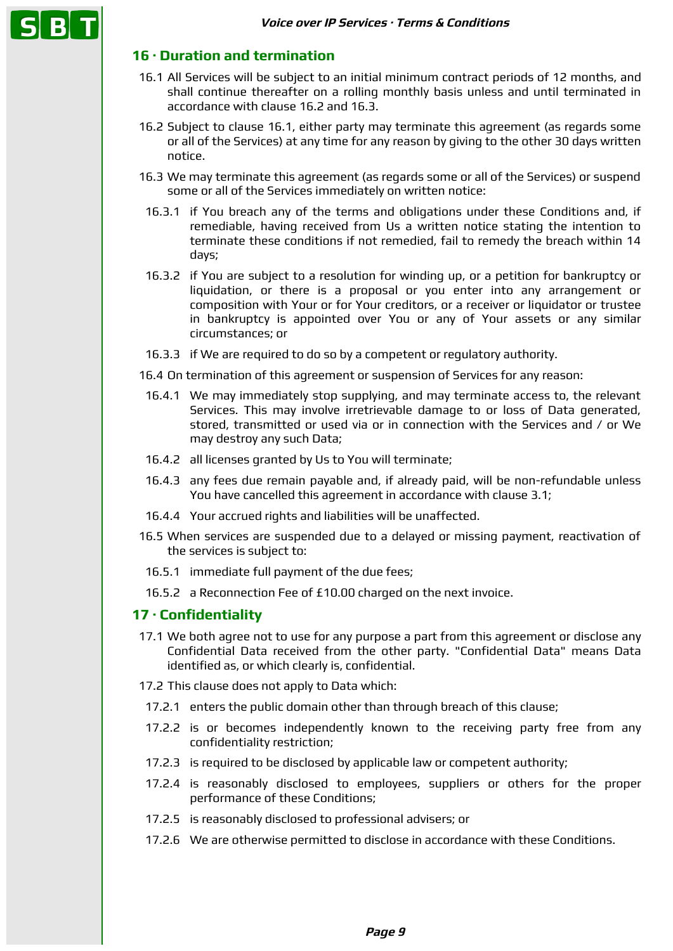# **16 · Duration and termination**

- 16.1 All Services will be subject to an initial minimum contract periods of 12 months, and shall continue thereafter on a rolling monthly basis unless and until terminated in accordance with clause 16.2 and 16.3.
- 16.2 Subject to clause 16.1, either party may terminate this agreement (as regards some or all of the Services) at any time for any reason by giving to the other 30 days written notice.
- 16.3 We may terminate this agreement (as regards some or all of the Services) or suspend some or all of the Services immediately on written notice:
	- 16.3.1 if You breach any of the terms and obligations under these Conditions and, if remediable, having received from Us a written notice stating the intention to terminate these conditions if not remedied, fail to remedy the breach within 14 days;
- 16.3.2 if You are subject to a resolution for winding up, or a petition for bankruptcy or liquidation, or there is a proposal or you enter into any arrangement or composition with Your or for Your creditors, or a receiver or liquidator or trustee in bankruptcy is appointed over You or any of Your assets or any similar circumstances; or
- 16.3.3 if We are required to do so by a competent or regulatory authority.
- 16.4 On termination of this agreement or suspension of Services for any reason:
- 16.4.1 We may immediately stop supplying, and may terminate access to, the relevant Services. This may involve irretrievable damage to or loss of Data generated, stored, transmitted or used via or in connection with the Services and / or We may destroy any such Data;
- 16.4.2 all licenses granted by Us to You will terminate;
- 16.4.3 any fees due remain payable and, if already paid, will be non-refundable unless You have cancelled this agreement in accordance with clause 3.1;
- 16.4.4 Your accrued rights and liabilities will be unaffected.
- 16.5 When services are suspended due to a delayed or missing payment, reactivation of the services is subject to:
- 16.5.1 immediate full payment of the due fees;
- 16.5.2 a Reconnection Fee of £10.00 charged on the next invoice.

#### **17 · Confidentiality**

- 17.1 We both agree not to use for any purpose a part from this agreement or disclose any Confidential Data received from the other party. "Confidential Data" means Data identified as, or which clearly is, confidential.
- 17.2 This clause does not apply to Data which:
- 17.2.1 enters the public domain other than through breach of this clause;
- 17.2.2 is or becomes independently known to the receiving party free from any confidentiality restriction;
- 17.2.3 is required to be disclosed by applicable law or competent authority;
- 17.2.4 is reasonably disclosed to employees, suppliers or others for the proper performance of these Conditions;
- 17.2.5 is reasonably disclosed to professional advisers; or
- 17.2.6 We are otherwise permitted to disclose in accordance with these Conditions.